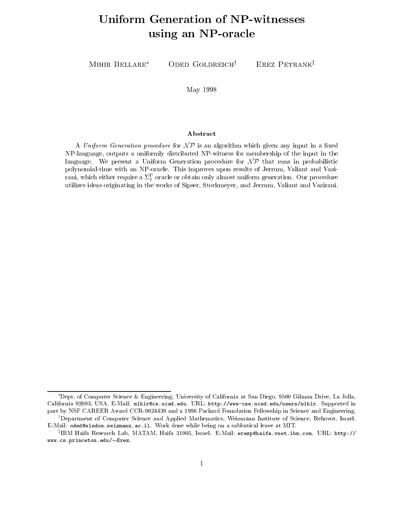# Uniform Generation of NPW Services of NPW Services and NPW Services and NPW Services and NPW Services and NPW S using an NPoracle

MIHIR BELLARE<sup>\*</sup> ODED GOLDREICH<sup>†</sup> EREZ PETRANK<sup> $\ddagger$ </sup>

### May 1998

### Abstract

A Uniform Generation procedure for  $\mathcal{NP}$  is an algorithm which given any input in a fixed NPlanguage- outputs a uniformly distributed NPwitness for membership of the input in the language. We present a Uniform Generation procedure for  $\mathcal{NP}$  that runs in probabilistic polynomialtime with an NPO results of This improves upon results of Jerre and Valiant and Valiant and Valiant ram, which either require a  $z_{\bar{2}}$  oracle or obtain only almost uniform generation. Our procedure utilizes is the works origination of Sipser-Sipser-Values of Sipser-Jerre and Valiant and Valiant and Valiant

Dept, of Computer Science & Engineering, University of California at San Diego, 9500 Gilman Drive, La Jolla, . The california - USA EMAil of the URL of the URL of the URL of the URL of the URL of the URL of the URL of the URL of the URL of the URL of the URL of the URL of the URL of the URL of the URL of the URL of the URL of the part by NSF CAREER Award CORPORATION FOUNDATION FOR AN AMERICAN CONTINUES AND EXTREMELY IN SCIENCE AND ENGINEERING Department of Computer Science and Applied Mathematics, Weizmann Institute of Science, Rehovot, Israel. "

E-Mail: oded@wisdom.weizmann.ac.il. Work done while being on a sabbatical leave at MIT. "IBM Hana Research Lab, MATAM, Hana 31905, Israel. E-Mail: erezp@haifa.vnet.ibm.com. URL: http://

 $www.cs.princeton.edu/~Erez.$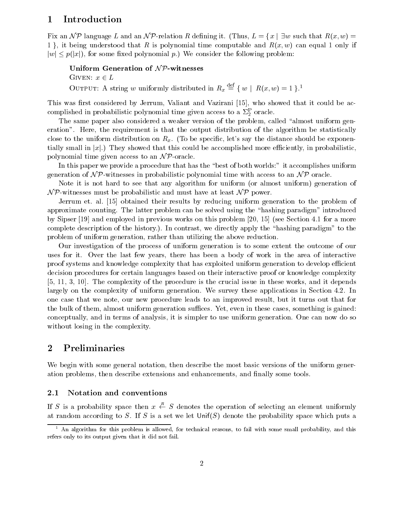### Introduction  $\mathbf 1$

Fix an NP language L and an NP-relation R defining it. (Thus,  $L = \{x \mid \exists w \text{ such that } R(x, w) =$ 1, it being understood that R is polynomial time computable and  $R(x, w)$  can equal 1 only if  $|w| \leq p(|x|)$ , for some fixed polynomial p.) We consider the following problem:

Uniform Generation of  $N$ P-witnesses Given a strong control of the control of the control of the control of the control of the control of the control of the control of the control of the control of the control of the control of the control of the control of t OUTPUT: A string w uniformly distributed in  $R_x \equiv \{ w \mid R(x, w) = 1 \}$ .

This was first considered by Jerrum, Valiant and Vazirani [15], who showed that it could be accomplished in probabilistic polynomial time given access to a  $\mathfrak{z}_2$  oracle.

The same paper also considered a weaker version of the problem, called "almost uniform generation". Here, the requirement is that the output distribution of the algorithm be statistically close to the uniform distribution on  $R_x$ . (To be specific, let's say the distance should be exponentially small in  $|x|$ .) They showed that this could be accomplished more efficiently, in probabilistic. polynomial time given access to an  $\mathcal{NP}$ -oracle.

In this paper we provide a procedure that has the best of both worlds it accomplishes uniform generation of  $\mathcal{NP}$ -witnesses in probabilistic polynomial time with access to an  $\mathcal{NP}$  oracle.

Note it is not hard to see that any algorithm for uniform (or almost uniform) generation of  $\mathcal{NP}$ -witnesses must be probabilistic and must have at least  $\mathcal{NP}$  power.

Jerrum et. al. [15] obtained their results by reducing uniform generation to the problem of approximate counting. The latter problem can be solved using the "hashing paradigm" introduced by Sipser  $[19]$  and employed in previous works on this problem  $[20, 15]$  (see Section 4.1 for a more complete description of the history.). In contrast, we directly apply the "hashing paradigm" to the problem of uniform generation rather than utilizing the above reduction

Our investigation of the process of uniform generation is to some extent the outcome of our uses for it Over the last few years there has been a body of work in the area of interactive proof systems and knowledge complexity that has exploited uniform generation to develop efficient decision procedures for certain languages based on their interactive proof or knowledge complexity  $[5, 11, 3, 10]$ . The complexity of the procedure is the crucial issue in these works, and it depends largely on the complexity of uniform generation. We survey these applications in Section 4.2. In one case that we note, our new procedure leads to an improved result, but it turns out that for the bulk of them, almost uniform generation suffices. Yet, even in these cases, something is gained: conceptually, and in terms of analysis, it is simpler to use uniform generation. One can now do so without losing in the complexity.

## 2 Preliminaries

We begin with some general notation, then describe the most basic versions of the uniform generation problems, then describe extensions and enhancements, and finally some tools.

#### $2.1$ Notation and conventions

If S is a probability space then  $x \leftarrow S$  denotes the operation of selecting an element uniformly at random according to S. If S is a set we let  $\text{Unif}(S)$  denote the probability space which puts a

 $^\circ$  An algorithm for this problem is allowed, for technical reasons, to fail with some small probability, and this refers only to its output given that it did not fail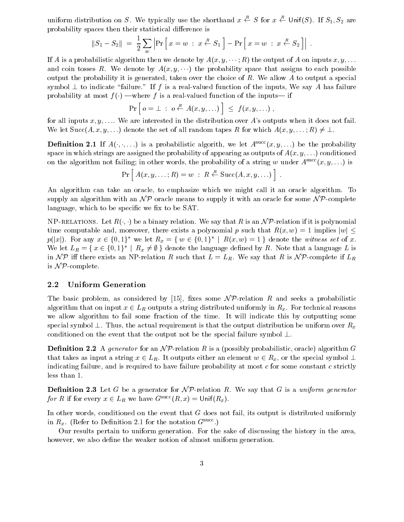uniform distribution on S. We typically use the shorthand  $x \leftarrow S$  for  $x \leftarrow$  Unit(S). If  $S_1, S_2$  are probability spaces then their statistical difference is

$$
||S_1 - S_2|| = \frac{1}{2} \sum_{w} \left| \Pr \left[ x = w : x \stackrel{R}{\leftarrow} S_1 \right] - \Pr \left[ x = w : x \stackrel{R}{\leftarrow} S_2 \right] \right| .
$$

If A is a probabilistic algorithm then we denote by  $A(x, y, \dots; R)$  the output of A on inputs  $x, y, \dots$ and coin tosses R. We denote by  $A(x, y, \dots)$  the probability space that assigns to each possible output the probability it is generated, taken over the choice of R. We allow A to output a special symbol  $\perp$  to indicate "failure." If f is a real-valued function of the inputs, We say A has failure probability at most  $f(\cdot)$  —where f is a real-valued function of the inputs— if

$$
\Pr\left[\, o = \bot \; : \; o \stackrel{R}{\leftarrow} A(x, y, \ldots) \,\right] \leq f(x, y, \ldots) \;,
$$

for all inputs  $x, y, \ldots$  We are interested in the distribution over A's outputs when it does not fail. We let  $Succ(A, x, y, ...)$  denote the set of all random tapes R for which  $A(x, y, ...; R) \neq \bot$ .

**Definition 2.1** If  $A(\cdot, \cdot, \ldots)$  is a probabilistic algorith, we let  $A = (x, y, \ldots)$  be the probability space in which strings are assigned the probability of appearing as outputs of  $A(x, y, \dots)$  conditioned on the algorithm not failing; in other words, the probability of a string w under  $A<sup>succ</sup>(x, y, ...)$  is

$$
\Pr[A(x, y, \ldots; R) = w : R \stackrel{R}{\leftarrow} \text{Succ}(A, x, y, \ldots)] .
$$

An algorithm can take an oracle, to emphasize which we might call it an oracle algorithm. To supply an algorithm with an  $\mathcal{NP}$  oracle means to supply it with an oracle for some  $\mathcal{NP}$ -complete language, which to be specific we fix to be SAT.

NPRELATIONS- NPRELATIONS- RELATIONS- RELATIONS- RELATIONS- RELATION WE SAY THAT R IS AN INCOME. RELATION IN TH time computable and, moreover, there exists a polynomial p such that  $R(x, w) = 1$  implies  $|w| \le$  $p(|x|)$ . For any  $x \in \{0,1\}^*$  we let  $R_x = \{w \in \{0,1\}^* \mid R(x,w) = 1\}$  denote the witness set of x. We let  $L_R = \{x \in \{0,1\}^* \mid R_x \neq \emptyset\}$  denote the language defined by R. Note that a language L is in NP iff there exists an NP-relation R such that  $L = L_R$ . We say that R is NP-complete if  $L_R$ is  $N \mathcal{P}$ -complete.

### 2.2 Uniform Generation

The basic problem, as considered by [15], fixes some  $\mathcal{NP}$ -relation R and seeks a probabilistic algorithm that on input  $\Gamma$  -string distribution uniformly in Formly in Formly in Rx For technical reasons and  $\Gamma$ we allow algorithm to fail some fraction of the time. It will indicate this by outputting some special symbol  $\perp$ . Thus, the actual requirement is that the output distribution be uniform over  $R_x$ conditioned on the event that the output not be the special failure symbol  $\perp$ .

Denition -- A generator for an N Prelation R is a possibly probabilistic oracle algorithm G that takes as input a string  $\mathbf{r}$  -contribution of  $\mathbf{r}$  -contribution of  $\mathbf{r}$  -contribution of  $\mathbf{r}$ indicating failure, and is required to have failure probability at most  $c$  for some constant  $c$  strictly less than

 $\blacksquare$  changes  $\blacksquare$  .  $\blacksquare$  and  $\blacksquare$  we say that  $\blacksquare$  is a uniform generator. for R if for every  $x \in L_R$  we have  $G = (R, x) \equiv \text{Unif}(R_x)$ .

In other words, conditioned on the event that  $G$  does not fail, its output is distributed uniformly in  $R_x$ . (Refer to Definition 2.1 for the notation  $G<sup>succ</sup>$ .)

Our results pertain to uniform generation. For the sake of discussing the history in the area, however, we also define the weaker notion of almost uniform generation.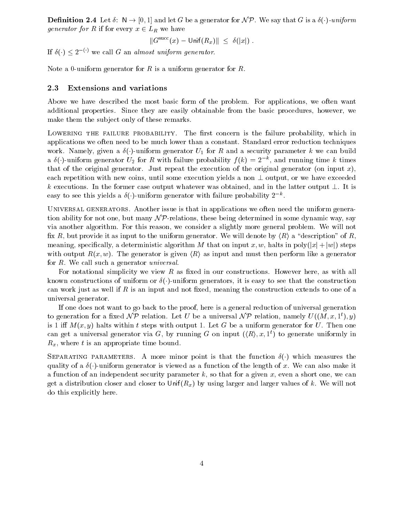$\blacksquare$  . The set  $\blacksquare$  and  $\blacksquare$  . If  $\blacksquare$  is a generator for  $\blacksquare$  is a set  $\blacksquare$  is a set  $\blacksquare$  is a set  $\blacksquare$  is a set  $\blacksquare$  is a set  $\blacksquare$  is a set  $\blacksquare$  is a set  $\blacksquare$  is a set  $\blacksquare$  is a set  $\blacksquare$  is a  $g$ enerator jer kom eveny x  $\in$   $\mathbf{H}$  we have

$$
||Gsucc(x) - Unif(Rx)|| \leq \delta(|x|) .
$$

If  $\delta(\cdot) \leq 2^{-\nu}$  we call G an almost uniform generator.

Note a 0-uniform generator for  $R$  is a uniform generator for  $R$ .

#### 2.3 Extensions and variations

Above we have described the most basic form of the problem. For applications, we often want additional properties. Since they are easily obtainable from the basic procedures, however, we make them the subject only of these remarks.

Lowering the failure probability- The rst concern is the failure probability which in applications we often need to be much lower than a constant. Standard error reduction techniques work Namely given a security parameter as  $U$  for R and a security parameter k we can build build build build build build build build build build build build build build build build build build build build build build bui a  $\delta(\cdot)$ -uniform generator  $U_2$  for R with failure probability  $f(k) = 2^{-k}$ , and running time k times that of the original generator. Just repeat the execution of the original generator (on input  $x$ ), each repetition with new coins, until some execution yields a non  $\perp$  output, or we have exceeded k executions. In the former case output whatever was obtained, and in the latter output  $\perp$ . It is easy to see this yields a  $\delta(\cdot)$ -uniform generator with failure probability  $2^{-\kappa}$ .

Universal denominations is that in applications we often need the uniform applications were applicated generatio tion ability for not one, but many  $\mathcal{NP}$ -relations, these being determined in some dynamic way, say via another algorithm. For this reason, we consider a slightly more general problem. We will not fix R, but provide it as input to the uniform generator. We will denote by  $\langle R \rangle$  a "description" of R. meaning, specifically, a deterministic algorithm M that on input x, w, halts in poly $(|x| + |w|)$  steps with output  $R(x, w)$ . The generator is given  $\langle R \rangle$  as input and must then perform like a generator for  $R$ . We call such a generator *universal*.

For notational simplicity we view  $R$  as fixed in our constructions. However here, as with all known constructions of uniform or - uniform generators it is easy to see that the construction can work just as well if  $R$  is an input and not fixed, meaning the construction extends to one of a universal generator

If one does not want to go back to the proof here is a general reduction of universal generation to generation for a fixed  $\mathcal{NP}$  relation. Let U be a universal  $\mathcal{NP}$  relation, namely  $U((M, x, 1^t), y)$ is 1 iff  $M(x, y)$  halts within t steps with output 1. Let G be a uniform generator for U. Then one can get a universal generator via G, by running G on input  $(\langle R \rangle, x, 1^t)$  to generate uniformly in  $R_x$ , where t is an appropriate time bound.

Separating parameters- A more minor point is that the function - which measures the  $\mathbf{u}$  -  $\mathbf{u}$  -  $\mathbf{u}$  -  $\mathbf{u}$  -  $\mathbf{u}$  -  $\mathbf{u}$  -  $\mathbf{u}$  -  $\mathbf{u}$  -  $\mathbf{u}$ a function of an independent security parameter  $k$ , so that for a given x, even a short one, we can get a distribution closer and closer to Unif $(R_x)$  by using larger and larger values of k. We will not do this explicitly here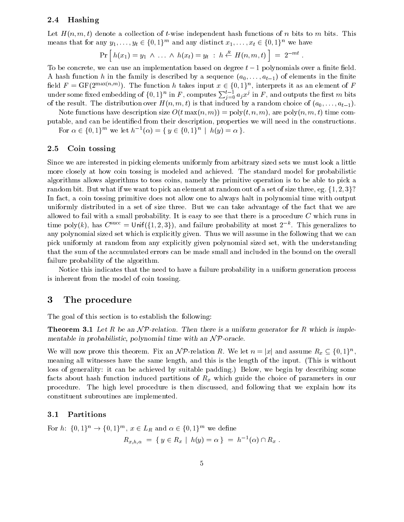### 2.4 Hashing

Let  $H(n, m, t)$  denote a collection of t-wise independent hash functions of n bits to m bits. This means that for any  $y_1, \ldots, y_t \in \{0, 1\}^{\ldots}$  and any distinct  $x_1, \ldots, x_t \in \{0, 1\}^{\ldots}$  we have

$$
\Pr [h(x_1) = y_1 \ \wedge \ \ldots \ \wedge \ h(x_t) = y_t \ : \ h \stackrel{R}{\leftarrow} H(n,m,t) ] = 2^{-mt}.
$$

To be concrete, we can use an implementation based on degree  $t-1$  polynomials over a finite field. A hash function h in the family is described by a sequence  $(a_0, \ldots, a_{t-1})$  of elements in the finite neig  $F = \text{Gr}(2^{+\infty}, \cdots)$ . The function h takes input  $x \in \{0, 1\}^+$ , interprets it as an element of F under some fixed embedding of  $\{0,1\}^n$  in  $F,$  computes  $\sum_{i=0}^{t-1} a_j x^j$  in  $F,$  and outputs the first  $m$  bits of the result. The distribution over  $H(n, m, t)$  is that induced by a random choice of  $(a_0, \ldots, a_{t-1})$ .

Note functions have description size  $O(t \max(n, m)) = \text{poly}(t, n, m)$ , are  $\text{poly}(n, m, t)$  time computable, and can be identified from their description, properties we will need in the constructions.

For  $\alpha \in \{0,1\}^m$  we let  $h^{-1}(\alpha) = \{y \in \{0,1\}^n \mid h(y) = \alpha\}.$ 

### 2.5 Coin tossing

Since we are interested in picking elements uniformly from arbitrary sized sets we must look a little more closely at how coin tossing is modeled and achieved. The standard model for probabilistic algorithms allows algorithms to toss coins namely the primitive operation is to be able to pick a random bit. But what if we want to pick an element at random out of a set of size three, eg.  $\{1, 2, 3\}$ ? In fact, a coin tossing primitive does not allow one to always halt in polynomial time with output uniformly distributed in a set of size three. But we can take advantage of the fact that we are allowed to fail with a small probability. It is easy to see that there is a procedure  $C$  which runs in time poly(k), has  $C^{\text{succ}} = \text{Unif}(\{1, 2, 3\})$ , and failure probability at most  $2^{-\kappa}$ . This generalizes to any polynomial sized set which is explicitly given. Thus we will assume in the following that we can pick uniformly at random from any explicitly given polynomial sized set, with the understanding that the sum of the accumulated errors can be made small and included in the bound on the overall failure probability of the algorithm

Notice this indicates that the need to have a failure probability in a uniform generation process is inherent from the model of coin tossing

#### -The procedure

The goal of this section is to establish the following

**Theorem 3.1** Let R be an  $\mathcal{NP}$ -relation. Then there is a uniform generator for R which is implementable in probabilistic- polynomial time with an N Poracle

We will now prove this theorem. Fix an  $\mathcal{NP}$ -relation R. We let  $n = |x|$  and assume  $R_x \subseteq \{0,1\}^n$ , meaning all witnesses have the same length, and this is the length of the input. (This is without loss of generality it can be achieved by suitable paddings, we begin by describing some facts about hash function induced partitions of  $R_x$  which guide the choice of parameters in our procedure. The high level procedure is then discussed, and following that we explain how its constituent subroutines are implemented

#### 3.1 Partitions

For  $n: \{0,1\}^{\sim} \rightarrow \{0,1\}^{\sim}$ ,  $x \in L_R$  and  $\alpha \in \{0,1\}^{\sim}$  we define

$$
R_{x,h,\alpha} = \{ y \in R_x \mid h(y) = \alpha \} = h^{-1}(\alpha) \cap R_x.
$$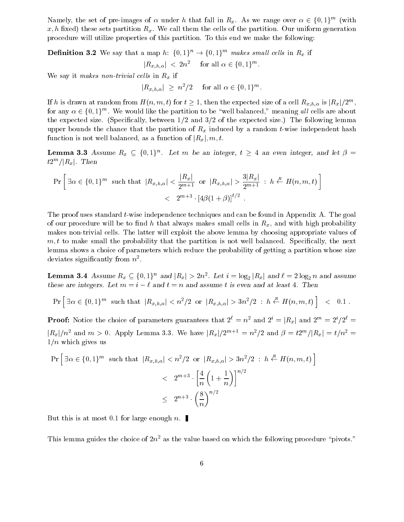Namely, the set of pre-images of  $\alpha$  under h that fall in  $R_x$ . As we range over  $\alpha \in \{0,1\}^{\infty}$  (with  $x, h$  fixed) these sets partition  $R_x$ . We call them the cells of the partition. Our uniform generation procedure will utilize properties of this partition To this end we make the following

**Demition 5.4** we say that a map  $n: \{0, 1\} \rightarrow \{0, 1\}$  *makes small cells* in  $K_x$  if

$$
|R_{x,h,\alpha}| < 2n^2 \quad \text{ for all } \alpha \in \{0,1\}^m.
$$

We say it makes non-trivial cells in  $R_x$  if

 $|R_{x,h,\alpha}| \geq n^{-1/2}$  for all  $\alpha \in \{0,1\}^{n^2}$ .

If h is drawn at random from  $H(n, m, t)$  for  $t \ge 1$ , then the expected size of a cell  $R_{x,h,\alpha}$  is  $|R_x|/2^m$ , for any  $\alpha \in \{0,1\}$ . We would like the partition to be well balanced, meaning *all* cells are about the expected size. (Specifically, between  $1/2$  and  $3/2$  of the expected size.) The following lemma upper bounds the chance that the partition of  $R_x$  induced by a random t-wise independent hash function is not well balanced, as a function of  $|R_x|, m, t$ .

**Lemma 3.3** Assume  $R_x \subseteq \{0,1\}^n$ . Let m be an integer,  $t \geq 4$  an even integer, and let  $p =$  $\iota$ z /  $|\mathbf{R}_x|$ . I hen

$$
\Pr\left[\exists \alpha \in \{0, 1\}^m \text{ such that } |R_{x,h,\alpha}| < \frac{|R_x|}{2^{m+1}} \text{ or } |R_{x,h,\alpha}| > \frac{3|R_x|}{2^{m+1}} : h \stackrel{R}{\leftarrow} H(n, m, t)\right] < 2^{m+3} \cdot \left[4\beta(1+\beta)\right]^{t/2}.
$$

The proof uses standard t-wise independence techniques and can be found in Appendix A. The goal of our procedure will be to find h that always makes small cells in  $R_x$ , and with high probability makes non-trivial cells. The latter will exploit the above lemma by choosing appropriate values of  $m, t$  to make small the probability that the partition is not well balanced. Specifically, the next lemma shows a choice of parameters which reduce the probability of getting a partition whose size deviates significantly from  $n^{\scriptscriptstyle +}$ .

**Lemma 5.4** Assume  $R_x \subseteq \{0, 1\}$  and  $|R_x| \geq 2n$ . Let  $i = \log_2 |R_x|$  and  $i = 2 \log_2 n$  and assume these are integers. Let  $m = i - \ell$  and  $t = n$  and assume t is even and at least 4. Then

$$
\Pr\left[\exists \alpha \in \{0,1\}^m \text{ such that } |R_{x,h,\alpha}| < n^2/2 \text{ or } |R_{x,h,\alpha}| > 3n^2/2 \text{ : } h \stackrel{R}{\leftarrow} H(n,m,t) \right] \leq 0.1 \, .
$$

**Proof:** Notice the choice of parameters guarantees that  $2^{\ell} = n^2$  and  $2^i = |R_x|$  and  $2^m = 2^i/2^{\ell} =$  $\vert R_x \vert /n^2$  and  $m > 0$ . Apply Lemma 5.5, we have  $\vert R_x \vert /2^{m+1} = n^2/2$  and  $\beta = \frac{t}{2^m} / |R_x| = \frac{t}{n^2} = \frac{t}{n^2}$  $1/n$  which gives us

$$
\Pr\left[\exists \alpha \in \{0, 1\}^m \text{ such that } |R_{x,h,\alpha}| < n^2/2 \text{ or } |R_{x,h,\alpha}| > 3n^2/2 : h \stackrel{R}{\leftarrow} H(n, m, t)\right] \\
&< 2^{m+3} \cdot \left[\frac{4}{n} \left(1 + \frac{1}{n}\right)\right]^{n/2} \\
&\leq 2^{n+3} \cdot \left(\frac{8}{n}\right)^{n/2}
$$

But this is at most 0.1 for large enough n.

This lemma guides the choice of  $2n^2$  as the value based on which the following procedure "pivots."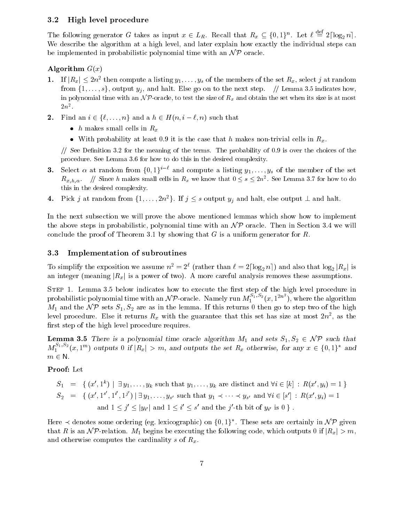#### $3.2$ High level procedure

The following generator G takes as input  $x \in L_R$ . Recall that  $R_x \subseteq \{0,1\}^n$ . Let  $\ell \equiv 2|\log_2 n|$ . We describe the algorithm at a high level, and later explain how exactly the individual steps can be implemented in probabilistic polynomial time with an  $\mathcal{NP}$  oracle.

### Algorithm  $G(x)$

- 1. If  $|R_x| \leq 2n$  and compute a listing  $y_1, \ldots, y_s$  of the members of the set  $R_x$ , select f at random from  $\{1, \ldots, s\}$ , output  $y_j$ , and halt. Else go on to the next step.  $\#$  Lemma 3.5 indicates howin polynomial time with any  $\ell$  -sixely to test the size of ray and obtain the set when its size is at most  $2n^2$
- Find an i f ng and a h Hn i n such that
	- *h* makes small cells in  $R_x$
	- With probability at least 0.9 it is the case that h makes non-trivial cells in  $R_x$ .

 $\frac{1}{2}$  See Definition 3.2 for the meaning of the terms. The probability of 0.9 is over the choices of the procedure See Lemma and the documental complexity in the desired complex in the desired complex in the desired

- **3.** Select  $\alpha$  at random from  $\{0,1\}^{i-\ell}$  and compute a listing  $y_1,\ldots,y_s$  of the member of the set  $\mathbf{R}_{x,h,\alpha}$ ,  $\beta$  since h makes small cells in  $\mathbf{R}_x$  we know that  $0 \leq s \leq 2n^2$ . See Lemma 5.4 for how to do this in the desired complexity
- 4. Pick j at random from  $\{1,\ldots,2n^2\}$ . If  $j\leq s$  output  $y_j$  and halt, else output  $\perp$  and halt.

In the next subsection we will prove the above mentioned lemmas which show how to implement the above steps in probabilistic, polynomial time with an  $\mathcal{NP}$  oracle. Then in Section 3.4 we will conclude the proof of Theorem 3.1 by showing that G is a uniform generator for R.

### 3.3 Implementation of subroutines

To simplify the exposition we assume  $n^2 = 2^{\ell}$  (rather than  $\ell = 2\lceil \log_2 n \rceil$ ) and also that  $\log_2 |R_x|$  is an integer (meaning  $|R_x|$  is a power of two). A more careful analysis removes these assumptions.

Step - Lemma  below indicates how to execute the rst step of the high level procedure in probabilistic polynomial time with an N P-oracle. Namely run  $M_1^{2,1,2}(x,1^{2n^2})$ , where the algorithm  $M_1$  and the  $\mathcal{NP}$  sets  $S_1, S_2$  are as in the lemma. If this returns 0 then go to step two of the high level procedure. Else it returns  $\bm{\mathrm{n}}_x$  with the guarantee that this set has size at most  $z n$  , as the first step of the high level procedure requires.

Lemma There is a polynomial time oracle algorithm M and sets S  $\Omega$  -sets S  $\Omega$  -sets S  $\Omega$  -sets S  $\Omega$  $M_1^{z_1,z_2}(x,1^m)$  outputs 0 if  $|R_x| > m$ , and outputs the set  $R_x$  otherwise, for any  $x \in \{0,1\}^*$  and m - N

### Proof: Let

$$
S_1 = \{ (x', 1^k) \mid \exists y_1, \dots, y_k \text{ such that } y_1, \dots, y_k \text{ are distinct and } \forall i \in [k] : R(x', y_i) = 1 \}
$$
  
\n
$$
S_2 = \{ (x', 1^{s'}, 1^{i'}, 1^{j'}) \mid \exists y_1, \dots, y_{s'} \text{ such that } y_1 \prec \dots \prec y_{s'} \text{ and } \forall i \in [s'] : R(x', y_i) = 1
$$
  
\nand  $1 \leq j' \leq |y_{i'}|$  and  $1 \leq i' \leq s'$  and the j'-th bit of  $y_{i'}$  is 0 \}.

Here  $\prec$  denotes some ordering (eg. lexicographic) on  $\{0,1\}^*$ . These sets are certainly in  $\mathcal{NP}$  given that R is an NP-relation.  $M_1$  begins be executing the following code, which outputs 0 if  $|R_x| > m$ , and otherwise computes the cardinality s of  $R_x$ .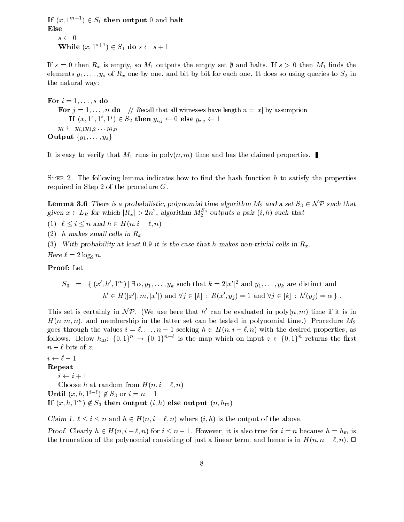If  $(x, 1^{m+1}) \in S_1$  then output  $0$  and halt Else  $s \leftarrow 0$ While  $(x, 1 \quad \quad) \in S_1$  do  $s \leftarrow s + 1$ 

If  $s = 0$  then  $R_x$  is empty, so  $M_1$  outputs the empty set  $\emptyset$  and halts. If  $s > 0$  then  $M_1$  finds the elements  $y_1, \ldots, y_s$  of  $R_x$  one by one, and bit by bit for each one. It does so using queries to  $S_2$  in the natural way

For  $i = 1, \ldots, s$  do For  $j = 1, \ldots, n$  do  $\ket{n}$  Recall that all witnesses have length  $n = |x|$  by assumption If  $(x, 1, 1, 1) \in S_2$  then  $y_{i,j} \leftarrow 0$  else  $y_{i,j} \leftarrow 1$  $y_i \leftarrow y_{i,1}y_{1,2} \ldots y_{i,n}$ Output  $\{y_1, \ldots, y_s\}$ 

It is easy to verify that  $M_1$  runs in  $\text{poly}(n, m)$  time and has the claimed properties.

Step - The following lemma indicates how to nd the hash function h to satisfy the properties required in Step 2 of the procedure  $G$ .

Lemma There is a probabilistic- polynomial time algorithm M and a set S -NP such that given  $x \in L_R$  for which  $|R_x| > 2n^2$ , algorithm  $M_2^{\infty}$  outputs a pair  $(i, h)$  such that

i i  $\mathbf{H}$  is a set of  $\mathbf{H}$  in an and hence  $\mathbf{H}$  is a set of  $\mathbf{H}$  in an and hence  $\mathbf{H}$ 

(2) h makes small cells in  $R_x$ 

(3) With probability at least 0.9 it is the case that h makes non-trivial cells in  $R_x$ .

Here  $\ell = 2\log_2 n$ .

Proof: Let

$$
S_3 = \{ (x', h', 1^m) \mid \exists \, \alpha, y_1, \ldots, y_k \text{ such that } k = 2|x'|^2 \text{ and } y_1, \ldots, y_k \text{ are distinct and} \newline h' \in H(|x'|, m, |x'|) \text{ and } \forall j \in [k] : R(x', y_j) = 1 \text{ and } \forall j \in [k] : h'(y_j) = \alpha \}.
$$

This set is certainly in  $\mathcal{NP}$ . (We use here that h' can be evaluated in poly $(n, m)$  time if it is in  $H(n, m, n)$ , and membership in the latter set can be tested in polynomial time.) Procedure  $M_2$  $\alpha$  the values in the values is assumed to a section of the desired properties as  $\beta$  . The desired properties as follows. Below  $h_{\text{ID}}$ :  $\{0,1\}^n \rightarrow \{0,1\}^{n-\ell}$  is the map which on input  $z \in \{0,1\}^n$  returns the first  $n - \ell$  bits of z.

### $i \leftarrow \ell - 1$

Repeat

 $i \leftarrow i + 1$ 

Choose h at random from  $H(n, i - \ell, n)$ 

Until  $(x, h, 1^{i-\epsilon}) \notin S_3$  or  $i = n-1$ 

If  $(x, n, 1^{\infty}) \notin S_3$  then output  $(i, n)$  else output  $(n, n_{\text{ID}})$ 

Claim is the claim in the output of the above the above the claim is the state of the above the above the above

Proof Clearly h - Hn i n for <sup>i</sup> <sup>n</sup> However it is also true for <sup>i</sup> <sup>n</sup> because <sup>h</sup> hid is the truncation of the polynomial consisting of just a linear term, and hence is in  $H(n, n - \ell, n)$ .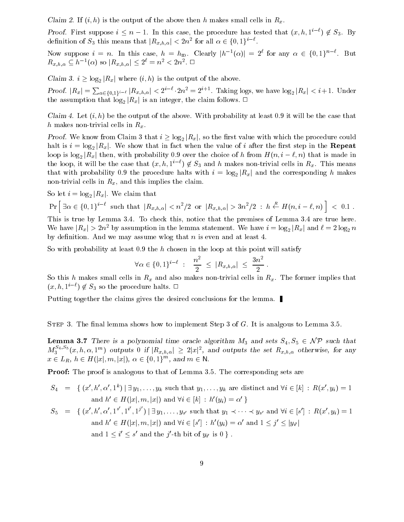Claim 2. If  $(i, h)$  is the output of the above then h makes small cells in  $R_x$ .

Proof. First suppose  $i \leq n-1$ . In this case, the procedure has tested that  $(x, h, 1^{i-t}) \notin S_3$ . By definition of  $S_3$  this means that  $|R_{x,h,\alpha}| < 2n^2$  for all  $\alpha \in \{0,1\}^{i-k}$ .

Now suppose  $i = n$ . In this case,  $h = h_{\text{ID}}$ . Clearly  $|h^{-1}(\alpha)| = 2^{\ell}$  for any  $\alpha \in \{0,1\}^{n-\ell}$ . But  $R_{x,h,\alpha} \subseteq h^{-1}(\alpha)$  so  $|R_{x,h,\alpha}| \leq 2^{\ell} = n^2 < 2n^2$ .

Claim 3.  $i > \log_2 |R_x|$  where  $(i, h)$  is the output of the above.

Proof.  $|R_x| = \sum_{\alpha \in \{0,1\}^{i-\ell}} |R_{x,h,\alpha}| < 2^{i-\ell} \cdot 2n^2 = 2^{i+1}$ . Taking logs, we have  $\log_2 |R_x| < i+1$ . Under the assumption that  $\log_2|R_x|$  is an integer, the claim follows.  $\Box$ 

Claim 4. Let  $(i, h)$  be the output of the above. With probability at least 0.9 it will be the case that h makes non-trivial cells in  $R_x$ .

*Proof.* We know from Claim 3 that  $i \geq \log_2 |R_x|$ , so the first value with which the procedure could halt is  $i = \log_2 |R_x|$ . We show that in fact when the value of i after the first step in the **Repeat** loop is  $\log_2|R_x|$  then, with probability 0.9 over the choice of h from  $H(n, i - \ell, n)$  that is made in the loop, it will be the case that  $(x, h, 1^{i-\ell}) \notin S_3$  and h makes non-trivial cells in  $R_x$ . This means that with probability 0.9 the procedure halts with  $i = \log_2 |R_x|$  and the corresponding h makes non-trivial cells in  $R_x$ , and this implies the claim.

So let  $i = \log_2 |R_x|$ . We claim that

$$
\Pr\left[\; \exists \alpha \in \{0,1\}^{i-\ell} \; \text{ such that } \; |R_{x,h,\alpha}| < n^2/2 \; \text{ or } \; |R_{x,h,\alpha}| > 3n^2/2 \; : \; h \stackrel{R}{\leftarrow} H(n,i-\ell,n) \; \right] \; < \; 0.1 \; .
$$

This is true by Lemma  $3.4$ . To check this, notice that the premises of Lemma  $3.4$  are true here. We have  $|R_x| > 2n^2$  by assumption in the lemma statement. We have  $i = \log_2|R_x|$  and  $\ell = 2\log_2 n$ by definition. And we may assume wlog that  $n$  is even and at least 4.

So with probability at least  $0.9$  the h chosen in the loop at this point will satisfy

$$
\forall \alpha \in \{0,1\}^{i-\ell} \; : \; \; \frac{n^2}{2} \; \le \; |R_{x,h,\alpha}| \; \le \; \frac{3n^2}{2} \; .
$$

So this h makes small cells in  $R_x$  and also makes non-trivial cells in  $R_x$ . The former implies that  $(x, h, 1^{i-\ell}) \notin S_3$  so the procedure halts.  $\Box$ 

Putting together the claims gives the desired conclusions for the lemma.

Step - The nal lemma shows how to implement Step of G It is analgous to Lemma 

Lemma There is <sup>a</sup> polynomial time oracle algorithm M and sets S S - N P such that  $M_3$ <sup>2</sup>  $(x, h, \alpha, 1<sup>m</sup>)$  outputs 0 if  $|R_{x,h,\alpha}| \geq 2|x|^2$ , and outputs the set  $R_{x,h,\alpha}$  otherwise, for any  $x \in L_R$ ,  $n \in H([x], m, |x|)$ ,  $\alpha \in \{0, 1\}^{\infty}$ , and  $m \in \mathbb{N}$ .

**Proof:** The proof is analogous to that of Lemma 3.5. The corresponding sets are

$$
S_4 = \{ (x', h', \alpha', 1^k) \mid \exists y_1, \dots, y_k \text{ such that } y_1, \dots, y_k \text{ are distinct and } \forall i \in [k] : R(x', y_i) = 1
$$
  
and  $h' \in H(|x|, m, |x|)$  and  $\forall i \in [k] : h'(y_i) = \alpha' \}$   

$$
S_5 = \{ (x', h', \alpha', 1^{s'}, 1^{i'}, 1^{j'}) \mid \exists y_1, \dots, y_{s'} \text{ such that } y_1 \prec \dots \prec y_{s'} \text{ and } \forall i \in [s'] : R(x', y_i) = 1
$$
  
and  $h' \in H(|x|, m, |x|)$  and  $\forall i \in [s'] : h'(y_i) = \alpha' \text{ and } 1 \le j' \le |y_{i'}|$   
and  $1 \le i' \le s'$  and the  $j'$ -th bit of  $y_{i'}$  is 0  $\}.$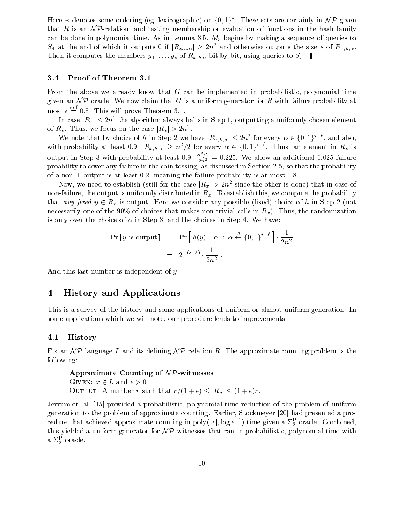Here  $\prec$  denotes some ordering (eg. lexicographic) on {0,1}<sup>\*</sup>. These sets are certainly in  $\mathcal{NP}$  given that R is an  $\mathcal{NP}$ -relation, and testing membership or evaluation of functions in the hash family can be done in polynomial time. As in Lemma 3.5,  $M_3$  begins by making a sequence of queries to  $S_4$  at the end of which it outputs 0 if  $|R_{x,h,\alpha}| \geq 2n^2$  and otherwise outputs the size s of  $R_{x,h,\alpha}$ . Then it computes the members  $y_1, \ldots, y_s$  of  $R_{x,h,\alpha}$  bit by bit, using queries to  $S_5$ .

### 3.4 Proof of Theorem 3.1

From the above we already know that  $G$  can be implemented in probabilistic, polynomial time given an  $\mathcal{NP}$  oracle. We now claim that G is a uniform generator for R with failure probability at most  $c \equiv 0.8$ . This will prove Theorem 3.1.

In case  $|R_x| \leq 2n$  and algorithm always halts in Step 1, outputting a uniformly chosen element of  $R_x$ . Thus, we focus on the case  $|R_x| > 2n^2$ .

We note that by choice of h in Step 2 we have  $|R_{x,h,\alpha}| \leq 2n^2$  for every  $\alpha \in \{0,1\}^{i-\epsilon}$ , and also, with probability at least 0.9,  $|R_{x,h,\alpha}| \geq n^2/2$  for every  $\alpha \in \{0,1\}^{i-\epsilon}$ . Thus, an element in  $R_x$  is output in Step 3 with probability at least  $0.9 \cdot \frac{n^2/2}{2n^2} = 0.225$ . We allow an additional 0.025 failure proability to cover any failure in the coin tossing, as discussed in Section 2.5, so that the probability of a non- output is at least it at least  $\alpha$  is at the failure probability is at most -  $\alpha$ 

Now, we need to establish (still for the case  $|R_x| > 2n^2$  since the other is done) that in case of non-failure, the output is uniformly distributed in  $R_x$ . To establish this, we compute the probability that any  $\mu$  is our put is output Here we considered any possible  $\mu$  in Step and any possible  $\mu$  is  $\mu$ necessarily one of the 90% of choices that makes non-trivial cells in  $R_x$ ). Thus, the randomization is only over the choice of  $\alpha$  in Step 3, and the choices in Step 4. We have:

$$
\begin{array}{rcl}\n\Pr[y \text{ is output}] & = & \Pr\left[h(y) = \alpha \; : \; \alpha \stackrel{R}{\leftarrow} \{0, 1\}^{i-\ell}\right] \cdot \frac{1}{2n^2} \\
& = & 2^{-(i-\ell)} \cdot \frac{1}{2n^2} \, .\n\end{array}
$$

And this last number is independent of y.

## 4 History and Applications

This is a survey of the history and some applications of uniform or almost uniform generation In some applications which we will note, our procedure leads to improvements.

#### 4.1 History

Fix an  $\mathcal{NP}$  language L and its defining  $\mathcal{NP}$  relation R. The approximate counting problem is the following

```
Approximate Counting of N \mathcal{P}-witnesses
\sim - \sim - \sim - \sim - \sim - \sim - \sim - \sim - \sim - \sim - \sim - \sim - \sim - \sim - \sim - \sim - \sim - \sim - \sim - \sim - \sim - \sim - \sim - \sim - \sim - \sim - \sim - \sim - \sim - \sim - \sim - \simOUTPUT: A number r such that r/(1+\epsilon) \leq |R_x| \leq (1+\epsilon)r.
```
Jerrum et. al. [15] provided a probabilistic, polynomial time reduction of the problem of uniform generation to the problem of approximate counting. Earlier, Stockmeyer [20] had presented a procedure that achieved approximate counting in poly $(|x|, \log \epsilon^{-1})$  time given a  $\Sigma_2^{\tau}$  oracle. Combined, this yielded a uniform generator for  $\mathcal{NP}$ -witnesses that ran in probabilistic, polynomial time with a  $\omega_2$  oracle.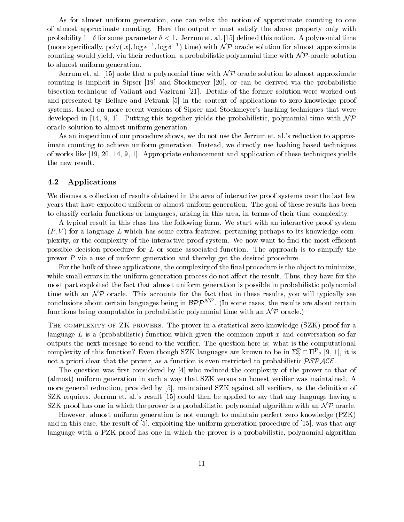As for almost uniform generation one can relax the notion of approximate counting to one of almost approximate counting. Here the output  $r$  must satisfy the above property only with probability - a form a sense parameter - and the some value parameter and the sense is parameter and a polynomial time (more specifically,  $poly(|x|, \log \epsilon^{-1}, \log \delta^{-1})$  time) with  $\mathcal{NP}$  oracle solution for almost approximate counting would yield, via their reduction, a probabilistic polynomial time with  $\mathcal{NP}$ -oracle solution to almost uniform generation

Jerrum et. al. [15] note that a polynomial time with  $\mathcal{NP}$  oracle solution to almost approximate counting is implicit in Sipser  $[19]$  and Stockmeyer  $[20]$ , or can be derived via the probabilistic bisection technique of Valiant and Vazirani [21]. Details of the former solution were worked out and presented by Bellare and Petrank [5] in the context of applications to zero-knowledge proof systems, based on more recent versions of Sipser and Stockmeyer's hashing techniques that were developed in [14, 9, 1]. Putting this together yields the probabilistic, polynomial time with  $\mathcal{NP}$ oracle solution to almost uniform generation

As an inspection of our procedure shows, we do not use the Jerrum et. al.'s reduction to approximate counting to achieve uniform generation. Instead, we directly use hashing based techniques of works like [19, 20, 14, 9, 1]. Appropriate enhancement and application of these techniques yields the new result

### 4.2 Applications

We discuss a collection of results obtained in the area of interactive proof systems over the last few years that have exploited uniform or almost uniform generation The goal of these results has been to classify certain functions or languages, arising in this area, in terms of their time complexity.

A typical result in this class has the following form We start with an interactive proof system  $(P, V)$  for a language L which has some extra features, pertaining perhaps to its knowledge complexity, or the complexity of the interactive proof system. We now want to find the most efficient possible decision procedure for  $L$  or some associated function. The approach is to simplify the prover  $P$  via a use of uniform generation and thereby get the desired procedure.

For the bulk of these applications, the complexity of the final procedure is the object to minimize. while small errors in the uniform generation process do not affect the result. Thus, they have for the most part exploited the fact that almost uniform generation is possible in probabilistic polynomial time with an N P oracle This accounts for the fact that in these results you willtypically see most part explored the lact that almost unnorm generation is<br>time with an  $\mathcal{NP}$  oracle. This accounts for the fact that in<br>conclusions about certain languages being in  $\mathcal{BPP}^{\mathcal{NP}}$ . (In som conclusions about certain languages being in  $BPP^{NP}$ . (In some cases, the results are about certain functions being computable in probabilistic polynomial time with an  $\mathcal{NP}$  oracle.)

The complexity of Zero complexity of the proversion and the proversion  $\mathcal{A}^*$  (see ) proversion language L is a (probabilistic) function which given the common input x and conversation so far outputs the next message to send to the verier The question here is what is the computational complexity of this function: Even though SZK languages are known to be in  $\mathcal{Z}_2$   $\cap$  in  $_2$  [9, 1], it is not a priori clear that the prover, as a function is even restricted to probabilistic  $\mathcal{PSPACE}$ .

The question was first considered by  $[4]$  who reduced the complexity of the prover to that of (almost) uniform generation in such a way that SZK versus an honest verifier was maintained. A more general reduction, provided by [5], maintained SZK against all verifiers, as the definition of SZK requires. Jerrum et. al.'s result  $[15]$  could then be applied to say that any language having a SZK proof has one in which the prover is a probabilistic, polynomial algorithm with an  $\mathcal{NP}$  oracle.

However, almost uniform generation is not enough to maintain perfect zero knowledge (PZK) and in this case, the result of  $[5]$ , exploiting the uniform generation procedure of  $[15]$ , was that any language with a PZK proof has one in which the prover is a probabilistic, polynomial algorithm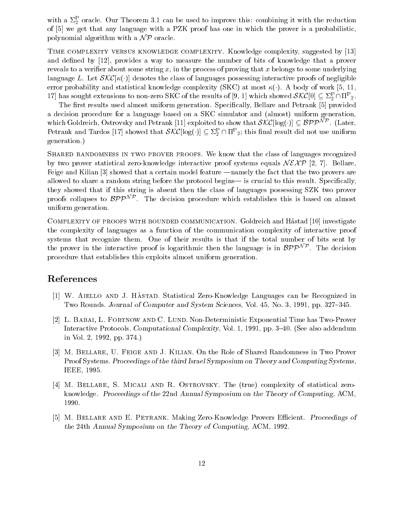with a  $\varphi_2$  oracle. Our Theorem 3.1 can be used to improve this: combining it with the reduction of [5] we get that any language with a PZK proof has one in which the prover is a probabilistic. polynomial algorithm with a  $\mathcal{NP}$  oracle.

Time complexity versus knowledge complexity- Knowledge complexity suggested by and defined by  $[12]$ , provides a way to measure the number of bits of knowledge that a prover reveals to a verifier about some string x, in the process of proving that x belongs to some underlying language L Let Skock in denotes the class of languages possessing interactive proofs of negligible error probability and statistical knowledge complexity SKC at most A body of work   $\Gamma$ ( ) has sought extensions to non-zero SKC of the results of [9, 1] which showed  $\mathcal{SKC}[0] \subseteq \mathbb{Z}_2^5 \cap \Pi^2$  2.

The first results used almost uniform generation. Specifically, Bellare and Petrank [5] provided a decision procedure for a language based on a SKC simulator and (almost) uniform generation, The first results used almost unform generation. Specifically, behave and I etrain [b] provided<br>a decision procedure for a language based on a SKC simulator and (almost) uniform generation,<br>which Goldreich, Ostrovsky and Petrank and Tardos [17] showed that  $\mathcal{S}\mathcal{N}\mathcal{C}$  [log( $\cdot$ )]  $\subseteq$   $\mathbb{Z}_2$  | [11-2] this linal result did not use uniform generation 

 $S_{\rm eff}$  in two prover prover proved prover proved prover proved proved proved proved proved proved proved proved proved proved proved proved proved proved proved proved proved proved proved proved proved proved proved pr by two prover statistical zero-knowledge interactive proof systems equals  $N \mathcal{E} \mathcal{X} \mathcal{P}$  [2, 7]. Bellare, Feige and Kilian  $\left|3\right|$  showed that a certain model feature —namely the fact that the two provers are allowed to share a random string before the protocol begins— is crucial to this result. Specifically, they showed that if this string is absent then the class of languages possessing SZK two prover ahowed to share a random string before the protocol begins— is crucial to this result. Specifically,<br>they showed that if this string is absent then the class of languages possessing SZK two prover<br>proofs collapses to  $\mathcal$ uniform generation

Complexity of proofs with bounded communication- Goldreich and H!astad 
 investigate the complexity of languages as a function of the communication complexity of interactive proof systems that recognize them One of their results is that if the total number of bits sent by the complexity of languages as a function of the communication complexity of interactive<br>systems that recognize them. One of their results is that if the total number of bits set<br>the prover in the interactive proof is log the prover in the interactive proof is logarithmic then the language is in  $\mathcal{BPP}^{\mathcal{NP}}$ . The decision procedure that establishes this exploits almost uniform generation

## References

- $\mu$  and  $\mu$  are  $\mu$  and  $\mu$  and  $\mu$  are  $\mu$  and  $\mu$  and  $\mu$  and  $\mu$  and  $\mu$  and  $\mu$  are  $\mu$ Two Rounds. Journal of Computer and System Sciences, Vol. 45, No. 3, 1991, pp. 327–345.
- L- Lund Non-Deterministic Exponential Time has Two Proverse and Complete Has Two Proverse and Time has Two P Interactive Protocols. Computational Complexity, Vol. 1, 1991, pp.  $3-40$ . (See also addendum in Vol. 2, 1992, pp.  $374.$
- , we construct the Provence and J-dimension in Two Provences in Two Proves in Two Proves in Two Provers in Two Proof Systems. Proceedings of the third Israel Symposium on Theory and Computing Systems. IEEE, 1995.
- M- Bellare S- Micali and R- Ostrovsky- The true complexity of statistical zero knowledge. Proceedings of the 22nd Annual Symposium on the Theory of Computing, ACM. 1990.
- M- Bellare and E- Petrank- Making ZeroKnowledge Provers Ecient Proceedings of the 24th Annual Symposium on the Theory of Computing, ACM, 1992.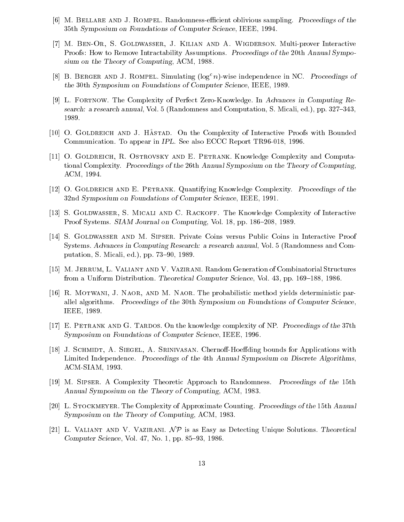- , and and and the second of the second and and the sampling proceeding and the second proceeding of the second 35th Symposium on Foundations of Computer Science, IEEE, 1994.
- M- BenOr S- Goldwasser J- Kilian and A- Wigderson Multiprover Interactive Proofs How to Remove Intractability Assumptions Proceedings of the th Annual Sympo sium on the Theory of Computing Action - 2000
- [8] B. BERGER AND J. KOMPEL. Simulating (log- n)-wise independence in NC. Proceedings of the the symposium on Foundations of Computer Science III is the Computer Science III is the state in the second
- L- Fortnow- The Complexity of Perfect ZeroKnowledge In Advances in Computing Re search: a research annual, Vol. 5 (Randomness and Computation, S. Micali, ed.), pp.  $327-343$ ,
- O- Goldreich and J- Hastad- On the Complexity of Interactive Proofs with Bounded Communication To appear in IPL See also Ecclesiation Tractic Report Tractic Report Tractic Report Tractic Report
- O- Goldreich R- Ostrovsky and E- Petrank Knowledge Complexity and Computa tional Complexity. Proceedings of the 26th Annual Symposium on the Theory of Computing. ACM, 1994.
- o- Goldreich and E- E-mail (And A-Complexity Proceedings of the Proceedings of the Second 32nd Symposium on Foundations of Computer Science, IEEE, 1991.
- S- Goldwasser S- Micali and C- Rackoff- The Knowledge Complexity of Interactive recognized the state of the state of the state of the state of the state of the state of the state of the state of the state of the state of the state of the state of the state of the state of the state of the state of the
- S- Goldwasser and M- Sipser- Private Coins versus Public Coins in Interactive Proof Systems. Advances in Computing Research: a research annual, Vol. 5 (Randomness and Computation S Microsoft and putation S Microsoft and putation S Microsoft and putation of the putation of the puta
- M- Jerrum L- Valiant and V- Vazirani- Random Generation of Combinatorial Structures from a Uniform Distribution Theoretical Computer Science Vol pp "-- -
- R- Motwani J- Naor and M- Naor The probabilistic method yields deterministic par allel algorithms. Proceedings of the 30th Symposium on Foundations of Computer Science, IEEE - IEEE - IEEE - IEEE - IEEE - IEEE - IEEE - IEEE - IEEE - IEEE - IEEE - IEEE - IEEE - IEEE - IEEE - IEEE
- E- Petrank and G- Tardos On the knowledge complexity of NP Proceedings of the th Symposium on Foundations of Computer Science, IEEE, 1996.
- J- Schmidt A- Siegel A- Srinivasan- ChernoHoeding bounds for Applications with Limited Independence. Proceedings of the 4th Annual Symposium on Discrete Algorithms. ACM-SIAM, 1993.
- iser and complexity theoretic approach to recommendations to a complexity of the theoretic Approach to the complexity of the complexity of the complexity of the complexity of the complexity of the complexity of the complex Annual Symposium on the Theory of Computing ACM -
- L- Stockmeyer The Complexity of Approximate Counting Proceedings of the th Annual Symposium on the Theory of Computing ACM -
- L- Valiant and V- Vazirani- N P is as Easy as Detecting Unique Solutions Theoretical computer computer states with the pp - the state of the state of the state of the state of the state of the state of the state of the state of the state of the state of the state of the state of the state of the state of t